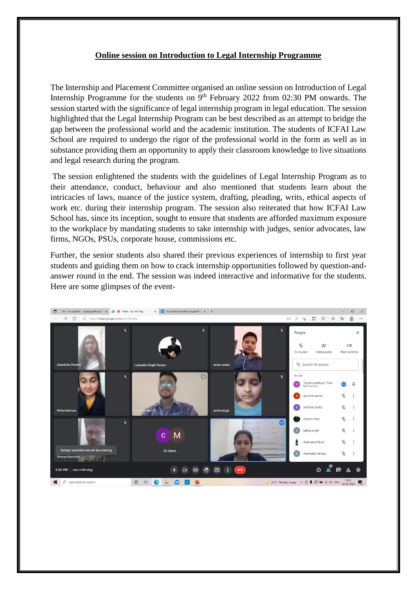## **Online session on Introduction to Legal Internship Programme**

The Internship and Placement Committee organised an online session on Introduction of Legal Internship Programme for the students on  $9<sup>th</sup>$  February 2022 from 02:30 PM onwards. The session started with the significance of legal internship program in legal education. The session highlighted that the Legal Internship Program can be best described as an attempt to bridge the gap between the professional world and the academic institution. The students of ICFAI Law School are required to undergo the rigor of the professional world in the form as well as in substance providing them an opportunity to apply their classroom knowledge to live situations and legal research during the program.

The session enlightened the students with the guidelines of Legal Internship Program as to their attendance, conduct, behaviour and also mentioned that students learn about the intricacies of laws, nuance of the justice system, drafting, pleading, writs, ethical aspects of work etc. during their internship program. The session also reiterated that how ICFAI Law School has, since its inception, sought to ensure that students are afforded maximum exposure to the workplace by mandating students to take internship with judges, senior advocates, law firms, NGOs, PSUs, corporate house, commissions etc.

Further, the senior students also shared their previous experiences of internship to first year students and guiding them on how to crack internship opportunities followed by question-andanswer round in the end. The session was indeed interactive and informative for the students. Here are some glimpses of the event-

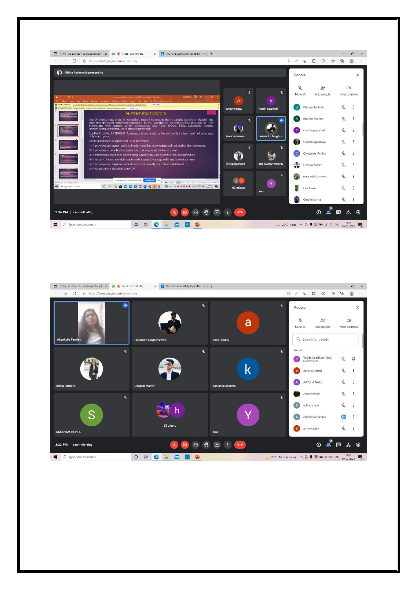